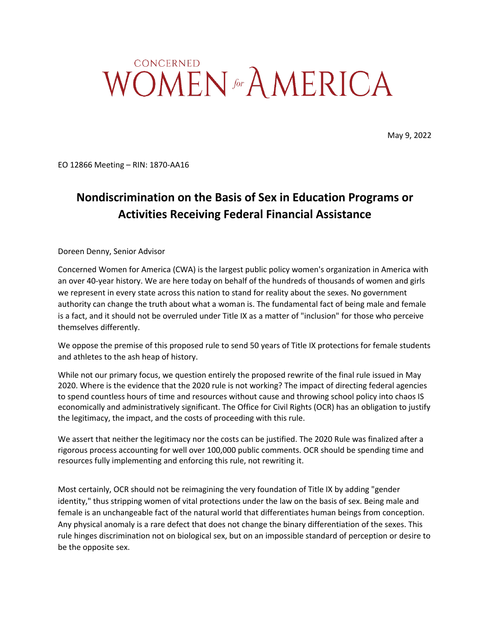## **CONCERNED** WOMEN for AMERICA

May 9, 2022

EO 12866 Meeting – RIN: 1870-AA16

## **Nondiscrimination on the Basis of Sex in Education Programs or Activities Receiving Federal Financial Assistance**

Doreen Denny, Senior Advisor

Concerned Women for America (CWA) is the largest public policy women's organization in America with an over 40-year history. We are here today on behalf of the hundreds of thousands of women and girls we represent in every state across this nation to stand for reality about the sexes. No government authority can change the truth about what a woman is. The fundamental fact of being male and female is a fact, and it should not be overruled under Title IX as a matter of "inclusion" for those who perceive themselves differently.

We oppose the premise of this proposed rule to send 50 years of Title IX protections for female students and athletes to the ash heap of history.

While not our primary focus, we question entirely the proposed rewrite of the final rule issued in May 2020. Where is the evidence that the 2020 rule is not working? The impact of directing federal agencies to spend countless hours of time and resources without cause and throwing school policy into chaos IS economically and administratively significant. The Office for Civil Rights (OCR) has an obligation to justify the legitimacy, the impact, and the costs of proceeding with this rule.

We assert that neither the legitimacy nor the costs can be justified. The 2020 Rule was finalized after a rigorous process accounting for well over 100,000 public comments. OCR should be spending time and resources fully implementing and enforcing this rule, not rewriting it.

Most certainly, OCR should not be reimagining the very foundation of Title IX by adding "gender identity," thus stripping women of vital protections under the law on the basis of sex. Being male and female is an unchangeable fact of the natural world that differentiates human beings from conception. Any physical anomaly is a rare defect that does not change the binary differentiation of the sexes. This rule hinges discrimination not on biological sex, but on an impossible standard of perception or desire to be the opposite sex.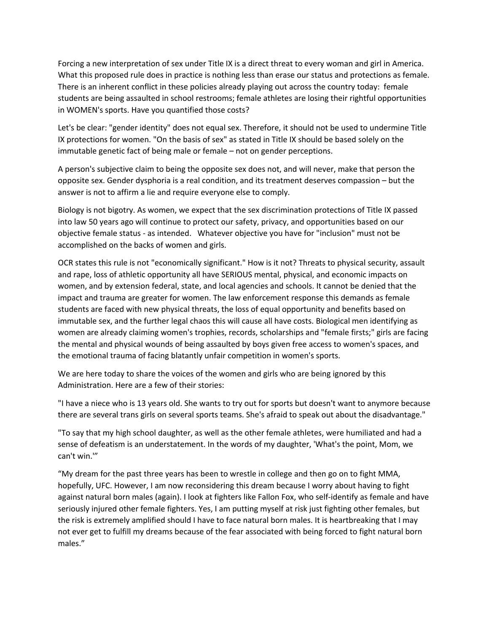Forcing a new interpretation of sex under Title IX is a direct threat to every woman and girl in America. What this proposed rule does in practice is nothing less than erase our status and protections as female. There is an inherent conflict in these policies already playing out across the country today: female students are being assaulted in school restrooms; female athletes are losing their rightful opportunities in WOMEN's sports. Have you quantified those costs?

Let's be clear: "gender identity" does not equal sex. Therefore, it should not be used to undermine Title IX protections for women. "On the basis of sex" as stated in Title IX should be based solely on the immutable genetic fact of being male or female – not on gender perceptions.

A person's subjective claim to being the opposite sex does not, and will never, make that person the opposite sex. Gender dysphoria is a real condition, and its treatment deserves compassion – but the answer is not to affirm a lie and require everyone else to comply.

Biology is not bigotry. As women, we expect that the sex discrimination protections of Title IX passed into law 50 years ago will continue to protect our safety, privacy, and opportunities based on our objective female status - as intended. Whatever objective you have for "inclusion" must not be accomplished on the backs of women and girls.

OCR states this rule is not "economically significant." How is it not? Threats to physical security, assault and rape, loss of athletic opportunity all have SERIOUS mental, physical, and economic impacts on women, and by extension federal, state, and local agencies and schools. It cannot be denied that the impact and trauma are greater for women. The law enforcement response this demands as female students are faced with new physical threats, the loss of equal opportunity and benefits based on immutable sex, and the further legal chaos this will cause all have costs. Biological men identifying as women are already claiming women's trophies, records, scholarships and "female firsts;" girls are facing the mental and physical wounds of being assaulted by boys given free access to women's spaces, and the emotional trauma of facing blatantly unfair competition in women's sports.

We are here today to share the voices of the women and girls who are being ignored by this Administration. Here are a few of their stories:

"I have a niece who is 13 years old. She wants to try out for sports but doesn't want to anymore because there are several trans girls on several sports teams. She's afraid to speak out about the disadvantage."

"To say that my high school daughter, as well as the other female athletes, were humiliated and had a sense of defeatism is an understatement. In the words of my daughter, 'What's the point, Mom, we can't win.'"

"My dream for the past three years has been to wrestle in college and then go on to fight MMA, hopefully, UFC. However, I am now reconsidering this dream because I worry about having to fight against natural born males (again). I look at fighters like Fallon Fox, who self-identify as female and have seriously injured other female fighters. Yes, I am putting myself at risk just fighting other females, but the risk is extremely amplified should I have to face natural born males. It is heartbreaking that I may not ever get to fulfill my dreams because of the fear associated with being forced to fight natural born males."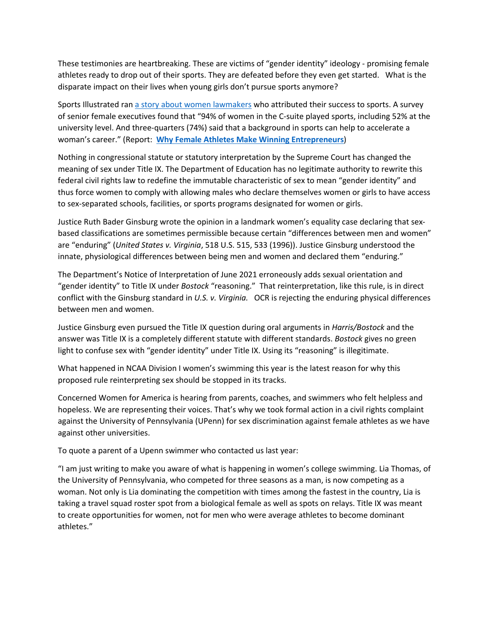These testimonies are heartbreaking. These are victims of "gender identity" ideology - promising female athletes ready to drop out of their sports. They are defeated before they even get started. What is the disparate impact on their lives when young girls don't pursue sports anymore?

Sports Illustrated ran a story about women lawmakers who attributed their success to sports. A survey of senior female executives found that "94% of women in the C-suite played sports, including 52% at the university level. And three-quarters (74%) said that a background in sports can help to accelerate a woman's career." (Report: **Why Female Athletes Make Winning Entrepreneurs**)

Nothing in congressional statute or statutory interpretation by the Supreme Court has changed the meaning of sex under Title IX. The Department of Education has no legitimate authority to rewrite this federal civil rights law to redefine the immutable characteristic of sex to mean "gender identity" and thus force women to comply with allowing males who declare themselves women or girls to have access to sex-separated schools, facilities, or sports programs designated for women or girls.

Justice Ruth Bader Ginsburg wrote the opinion in a landmark women's equality case declaring that sexbased classifications are sometimes permissible because certain "differences between men and women" are "enduring" (*United States v. Virginia*, 518 U.S. 515, 533 (1996)). Justice Ginsburg understood the innate, physiological differences between being men and women and declared them "enduring."

The Department's Notice of Interpretation of June 2021 erroneously adds sexual orientation and "gender identity" to Title IX under *Bostock* "reasoning." That reinterpretation, like this rule, is in direct conflict with the Ginsburg standard in *U.S. v. Virginia.* OCR is rejecting the enduring physical differences between men and women.

Justice Ginsburg even pursued the Title IX question during oral arguments in *Harris/Bostock* and the answer was Title IX is a completely different statute with different standards. *Bostock* gives no green light to confuse sex with "gender identity" under Title IX. Using its "reasoning" is illegitimate.

What happened in NCAA Division I women's swimming this year is the latest reason for why this proposed rule reinterpreting sex should be stopped in its tracks.

Concerned Women for America is hearing from parents, coaches, and swimmers who felt helpless and hopeless. We are representing their voices. That's why we took formal action in a civil rights complaint against the University of Pennsylvania (UPenn) for sex discrimination against female athletes as we have against other universities.

To quote a parent of a Upenn swimmer who contacted us last year:

"I am just writing to make you aware of what is happening in women's college swimming. Lia Thomas, of the University of Pennsylvania, who competed for three seasons as a man, is now competing as a woman. Not only is Lia dominating the competition with times among the fastest in the country, Lia is taking a travel squad roster spot from a biological female as well as spots on relays. Title IX was meant to create opportunities for women, not for men who were average athletes to become dominant athletes."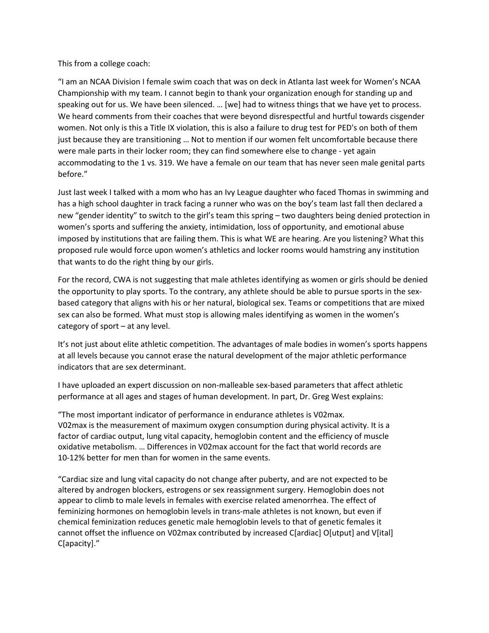This from a college coach:

"I am an NCAA Division I female swim coach that was on deck in Atlanta last week for Women's NCAA Championship with my team. I cannot begin to thank your organization enough for standing up and speaking out for us. We have been silenced. … [we] had to witness things that we have yet to process. We heard comments from their coaches that were beyond disrespectful and hurtful towards cisgender women. Not only is this a Title IX violation, this is also a failure to drug test for PED's on both of them just because they are transitioning … Not to mention if our women felt uncomfortable because there were male parts in their locker room; they can find somewhere else to change - yet again accommodating to the 1 vs. 319. We have a female on our team that has never seen male genital parts before."

Just last week I talked with a mom who has an Ivy League daughter who faced Thomas in swimming and has a high school daughter in track facing a runner who was on the boy's team last fall then declared a new "gender identity" to switch to the girl's team this spring – two daughters being denied protection in women's sports and suffering the anxiety, intimidation, loss of opportunity, and emotional abuse imposed by institutions that are failing them. This is what WE are hearing. Are you listening? What this proposed rule would force upon women's athletics and locker rooms would hamstring any institution that wants to do the right thing by our girls.

For the record, CWA is not suggesting that male athletes identifying as women or girls should be denied the opportunity to play sports. To the contrary, any athlete should be able to pursue sports in the sexbased category that aligns with his or her natural, biological sex. Teams or competitions that are mixed sex can also be formed. What must stop is allowing males identifying as women in the women's category of sport – at any level.

It's not just about elite athletic competition. The advantages of male bodies in women's sports happens at all levels because you cannot erase the natural development of the major athletic performance indicators that are sex determinant.

I have uploaded an expert discussion on non-malleable sex-based parameters that affect athletic performance at all ages and stages of human development. In part, Dr. Greg West explains:

"The most important indicator of performance in endurance athletes is V02max. V02max is the measurement of maximum oxygen consumption during physical activity. It is a factor of cardiac output, lung vital capacity, hemoglobin content and the efficiency of muscle oxidative metabolism. … Differences in V02max account for the fact that world records are 10-12% better for men than for women in the same events.

"Cardiac size and lung vital capacity do not change after puberty, and are not expected to be altered by androgen blockers, estrogens or sex reassignment surgery. Hemoglobin does not appear to climb to male levels in females with exercise related amenorrhea. The effect of feminizing hormones on hemoglobin levels in trans-male athletes is not known, but even if chemical feminization reduces genetic male hemoglobin levels to that of genetic females it cannot offset the influence on V02max contributed by increased C[ardiac] O[utput] and V[ital] C[apacity]."